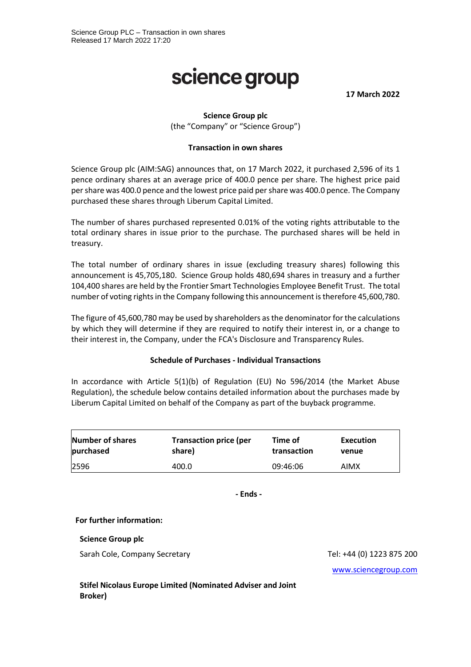# science group

**17 March 2022**

### **Science Group plc**

(the "Company" or "Science Group")

#### **Transaction in own shares**

Science Group plc (AIM:SAG) announces that, on 17 March 2022, it purchased 2,596 of its 1 pence ordinary shares at an average price of 400.0 pence per share. The highest price paid per share was 400.0 pence and the lowest price paid per share was 400.0 pence. The Company purchased these shares through Liberum Capital Limited.

The number of shares purchased represented 0.01% of the voting rights attributable to the total ordinary shares in issue prior to the purchase. The purchased shares will be held in treasury.

The total number of ordinary shares in issue (excluding treasury shares) following this announcement is 45,705,180. Science Group holds 480,694 shares in treasury and a further 104,400 shares are held by the Frontier Smart Technologies Employee Benefit Trust. The total number of voting rights in the Company following this announcement is therefore 45,600,780.

The figure of 45,600,780 may be used by shareholders as the denominator for the calculations by which they will determine if they are required to notify their interest in, or a change to their interest in, the Company, under the FCA's Disclosure and Transparency Rules.

#### **Schedule of Purchases - Individual Transactions**

In accordance with Article 5(1)(b) of Regulation (EU) No 596/2014 (the Market Abuse Regulation), the schedule below contains detailed information about the purchases made by Liberum Capital Limited on behalf of the Company as part of the buyback programme.

| <b>Number of shares</b> | <b>Transaction price (per</b> | Time of     | Execution |
|-------------------------|-------------------------------|-------------|-----------|
| purchased               | share)                        | transaction | venue     |
| 2596                    | 400.0                         | 09:46:06    | AIMX      |

**- Ends -**

#### **For further information:**

#### **Science Group plc**

Sarah Cole, Company Secretary Tel: +44 (0) 1223 875 200

[www.sciencegroup.com](http://www.sciencegroup.com/)

**Stifel Nicolaus Europe Limited (Nominated Adviser and Joint Broker)**